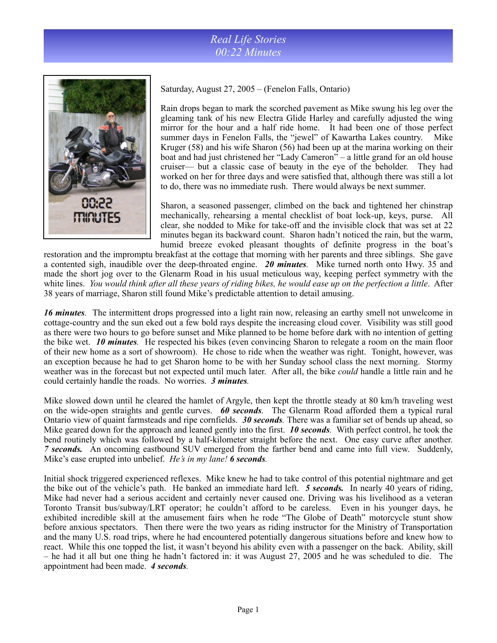## *Real Life Stories 00:22 Minutes*



Saturday, August 27, 2005 – (Fenelon Falls, Ontario)

Rain drops began to mark the scorched pavement as Mike swung his leg over the gleaming tank of his new Electra Glide Harley and carefully adjusted the wing mirror for the hour and a half ride home. It had been one of those perfect summer days in Fenelon Falls, the "jewel" of Kawartha Lakes country. Mike Kruger (58) and his wife Sharon (56) had been up at the marina working on their boat and had just christened her "Lady Cameron" – a little grand for an old house cruiser— but a classic case of beauty in the eye of the beholder. They had worked on her for three days and were satisfied that, although there was still a lot to do, there was no immediate rush. There would always be next summer.

Sharon, a seasoned passenger, climbed on the back and tightened her chinstrap mechanically, rehearsing a mental checklist of boat lock-up, keys, purse. All clear, she nodded to Mike for take-off and the invisible clock that was set at 22 minutes began its backward count. Sharon hadn't noticed the rain, but the warm, humid breeze evoked pleasant thoughts of definite progress in the boat's

restoration and the impromptu breakfast at the cottage that morning with her parents and three siblings. She gave a contented sigh, inaudible over the deep-throated engine. *20 minutes.* Mike turned north onto Hwy. 35 and made the short jog over to the Glenarm Road in his usual meticulous way, keeping perfect symmetry with the white lines. *You would think after all these years of riding bikes, he would ease up on the perfection a little*. After 38 years of marriage, Sharon still found Mike's predictable attention to detail amusing.

*16 minutes.* The intermittent drops progressed into a light rain now, releasing an earthy smell not unwelcome in cottage-country and the sun eked out a few bold rays despite the increasing cloud cover. Visibility was still good as there were two hours to go before sunset and Mike planned to be home before dark with no intention of getting the bike wet. *10 minutes.* He respected his bikes (even convincing Sharon to relegate a room on the main floor of their new home as a sort of showroom). He chose to ride when the weather was right. Tonight, however, was an exception because he had to get Sharon home to be with her Sunday school class the next morning. Stormy weather was in the forecast but not expected until much later. After all, the bike *could* handle a little rain and he could certainly handle the roads. No worries. *3 minutes.* 

Mike slowed down until he cleared the hamlet of Argyle, then kept the throttle steady at 80 km/h traveling west on the wide-open straights and gentle curves. *60 seconds.* The Glenarm Road afforded them a typical rural Ontario view of quaint farmsteads and ripe cornfields. *30 seconds.* There was a familiar set of bends up ahead, so Mike geared down for the approach and leaned gently into the first. *10 seconds.* With perfect control, he took the bend routinely which was followed by a half-kilometer straight before the next. One easy curve after another. *7 seconds.* An oncoming eastbound SUV emerged from the farther bend and came into full view. Suddenly, Mike's ease erupted into unbelief. *He's in my lane! 6 seconds.* 

Initial shock triggered experienced reflexes. Mike knew he had to take control of this potential nightmare and get the bike out of the vehicle's path. He banked an immediate hard left. *5 seconds.* In nearly 40 years of riding, Mike had never had a serious accident and certainly never caused one. Driving was his livelihood as a veteran Toronto Transit bus/subway/LRT operator; he couldn't afford to be careless. Even in his younger days, he exhibited incredible skill at the amusement fairs when he rode "The Globe of Death" motorcycle stunt show before anxious spectators. Then there were the two years as riding instructor for the Ministry of Transportation and the many U.S. road trips, where he had encountered potentially dangerous situations before and knew how to react. While this one topped the list, it wasn't beyond his ability even with a passenger on the back. Ability, skill – he had it all but one thing he hadn't factored in: it was August 27, 2005 and he was scheduled to die. The appointment had been made. *4 seconds.*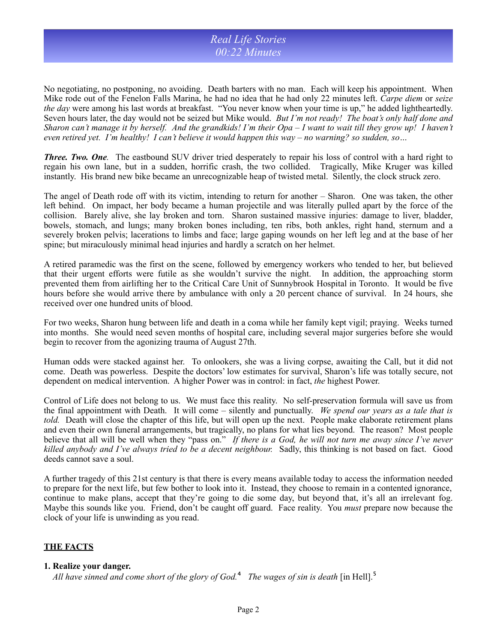### *Real Life Stories 00:22 Minutes*

No negotiating, no postponing, no avoiding. Death barters with no man. Each will keep his appointment. When Mike rode out of the Fenelon Falls Marina, he had no idea that he had only 22 minutes left. *Carpe diem* or *seize the day* were among his last words at breakfast. "You never know when your time is up," he added lightheartedly. Seven hours later, the day would not be seized but Mike would. *But I'm not ready! The boat's only half done and Sharon can't manage it by herself. And the grandkids! I'm their Opa – I want to wait till they grow up! I haven't even retired yet. I'm healthy! I can't believe it would happen this way – no warning? so sudden, so…* 

*Three. Two. One.* The eastbound SUV driver tried desperately to repair his loss of control with a hard right to regain his own lane, but in a sudden, horrific crash, the two collided. Tragically, Mike Kruger was killed instantly. His brand new bike became an unrecognizable heap of twisted metal. Silently, the clock struck zero.

The angel of Death rode off with its victim, intending to return for another – Sharon. One was taken, the other left behind. On impact, her body became a human projectile and was literally pulled apart by the force of the collision. Barely alive, she lay broken and torn. Sharon sustained massive injuries: damage to liver, bladder, bowels, stomach, and lungs; many broken bones including, ten ribs, both ankles, right hand, sternum and a severely broken pelvis; lacerations to limbs and face; large gaping wounds on her left leg and at the base of her spine; but miraculously minimal head injuries and hardly a scratch on her helmet.

A retired paramedic was the first on the scene, followed by emergency workers who tended to her, but believed that their urgent efforts were futile as she wouldn't survive the night. In addition, the approaching storm prevented them from airlifting her to the Critical Care Unit of Sunnybrook Hospital in Toronto. It would be five hours before she would arrive there by ambulance with only a 20 percent chance of survival. In 24 hours, she received over one hundred units of blood.

For two weeks, Sharon hung between life and death in a coma while her family kept vigil; praying. Weeks turned into months. She would need seven months of hospital care, including several major surgeries before she would begin to recover from the agonizing trauma of August 27th.

Human odds were stacked against her. To onlookers, she was a living corpse, awaiting the Call, but it did not come. Death was powerless. Despite the doctors' low estimates for survival, Sharon's life was totally secure, not dependent on medical intervention. A higher Power was in control: in fact, *the* highest Power.

Control of Life does not belong to us. We must face this reality. No self-preservation formula will save us from the final appointment with Death. It will come – silently and punctually. *We spend our years as a tale that is told.* Death will close the chapter of this life, but will open up the next. People make elaborate retirement plans and even their own funeral arrangements, but tragically, no plans for what lies beyond. The reason? Most people believe that all will be well when they "pass on." *If there is a God, he will not turn me away since I've never killed anybody and I've always tried to be a decent neighbour.* Sadly, this thinking is not based on fact. Good deeds cannot save a soul.

A further tragedy of this 21st century is that there is every means available today to access the information needed to prepare for the next life, but few bother to look into it. Instead, they choose to remain in a contented ignorance, continue to make plans, accept that they're going to die some day, but beyond that, it's all an irrelevant fog. Maybe this sounds like you. Friend, don't be caught off guard. Face reality. You *must* prepare now because the clock of your life is unwinding as you read.

### **THE FACTS**

### **1. Realize your danger.**

*All have sinned and come short of the glory of God.*⁴ *The wages of sin is death* [in Hell].⁵